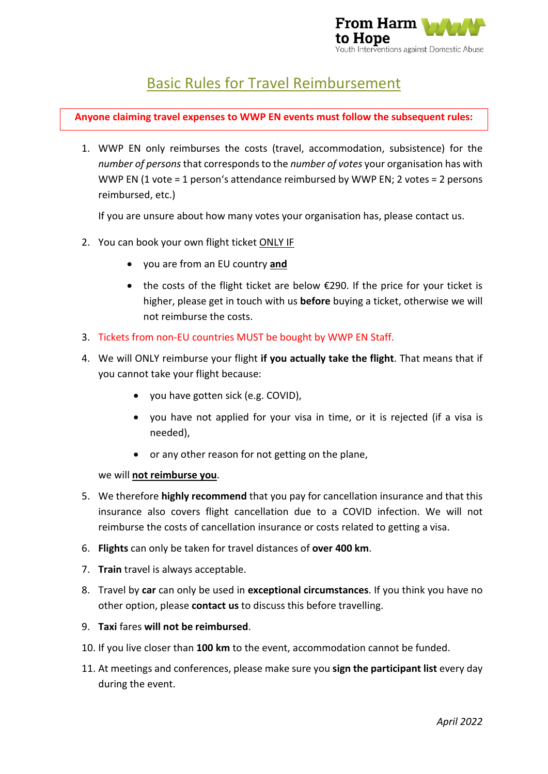

# Basic Rules for Travel Reimbursement

**Anyone claiming travel expenses to WWP EN events must follow the subsequent rules:**

1. WWP EN only reimburses the costs (travel, accommodation, subsistence) for the *number of persons* that corresponds to the *number of votes* your organisation has with WWP EN (1 vote = 1 person's attendance reimbursed by WWP EN; 2 votes = 2 persons reimbursed, etc.)

If you are unsure about how many votes your organisation has, please contact us.

- 2. You can book your own flight ticket ONLY IF
	- you are from an EU country **and**
	- the costs of the flight ticket are below €290. If the price for your ticket is higher, please get in touch with us **before** buying a ticket, otherwise we will not reimburse the costs.
- 3. Tickets from non-EU countries MUST be bought by WWP EN Staff.
- 4. We will ONLY reimburse your flight **if you actually take the flight**. That means that if you cannot take your flight because:
	- you have gotten sick (e.g. COVID),
	- you have not applied for your visa in time, or it is rejected (if a visa is needed),
	- or any other reason for not getting on the plane,

we will **not reimburse you**.

- 5. We therefore **highly recommend** that you pay for cancellation insurance and that this insurance also covers flight cancellation due to a COVID infection. We will not reimburse the costs of cancellation insurance or costs related to getting a visa.
- 6. **Flights** can only be taken for travel distances of **over 400 km**.
- 7. **Train** travel is always acceptable.
- 8. Travel by **car** can only be used in **exceptional circumstances**. If you think you have no other option, please **contact us** to discuss this before travelling.
- 9. **Taxi** fares **will not be reimbursed**.
- 10. If you live closer than **100 km** to the event, accommodation cannot be funded.
- 11. At meetings and conferences, please make sure you **sign the participant list** every day during the event.